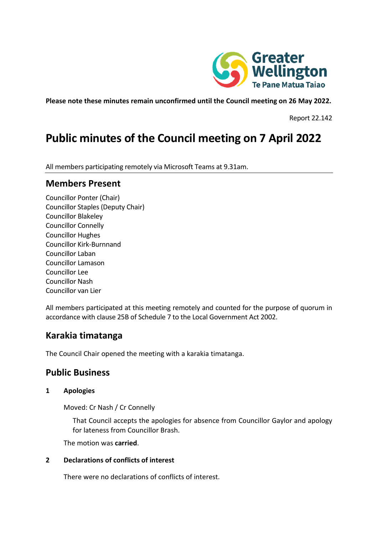

**Please note these minutes remain unconfirmed until the Council meeting on 26 May 2022.**

Report 22.142

# **Public minutes of the Council meeting on 7 April 2022**

All members participating remotely via Microsoft Teams at 9.31am.

## **Members Present**

Councillor Ponter (Chair) Councillor Staples (Deputy Chair) Councillor Blakeley Councillor Connelly Councillor Hughes Councillor Kirk-Burnnand Councillor Laban Councillor Lamason Councillor Lee Councillor Nash Councillor van Lier

All members participated at this meeting remotely and counted for the purpose of quorum in accordance with clause 25B of Schedule 7 to the Local Government Act 2002.

# **Karakia timatanga**

The Council Chair opened the meeting with a karakia timatanga.

# **Public Business**

#### **1 Apologies**

Moved: Cr Nash / Cr Connelly

That Council accepts the apologies for absence from Councillor Gaylor and apology for lateness from Councillor Brash.

The motion was **carried**.

#### **2 Declarations of conflicts of interest**

There were no declarations of conflicts of interest.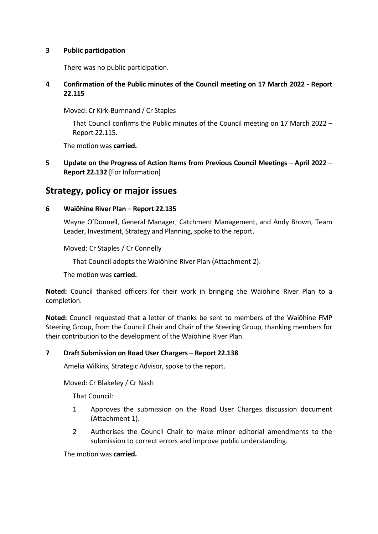#### **3 Public participation**

There was no public participation.

#### **4 Confirmation of the Public minutes of the Council meeting on 17 March 2022 - Report 22.115**

Moved: Cr Kirk-Burnnand / Cr Staples

That Council confirms the Public minutes of the Council meeting on 17 March 2022 – Report 22.115.

The motion was **carried.**

**5 Update on the Progress of Action Items from Previous Council Meetings – April 2022 – Report 22.132** [For Information]

# **Strategy, policy or major issues**

#### **6 Waiōhine River Plan – Report 22.135**

Wayne O'Donnell, General Manager, Catchment Management, and Andy Brown, Team Leader, Investment, Strategy and Planning, spoke to the report.

Moved: Cr Staples / Cr Connelly

That Council adopts the Waiōhine River Plan (Attachment 2).

The motion was **carried.**

**Noted:** Council thanked officers for their work in bringing the Waiōhine River Plan to a completion.

**Noted:** Council requested that a letter of thanks be sent to members of the Waiōhine FMP Steering Group, from the Council Chair and Chair of the Steering Group, thanking members for their contribution to the development of the Waiōhine River Plan.

#### **7 Draft Submission on Road User Chargers – Report 22.138**

Amelia Wilkins, Strategic Advisor, spoke to the report.

Moved: Cr Blakeley / Cr Nash

That Council:

- 1 Approves the submission on the Road User Charges discussion document (Attachment 1).
- 2 Authorises the Council Chair to make minor editorial amendments to the submission to correct errors and improve public understanding.

The motion was **carried.**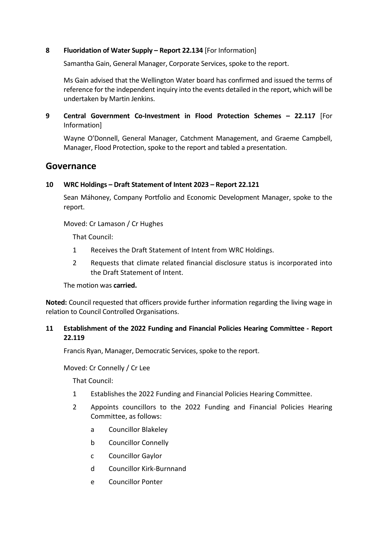#### **8 Fluoridation of Water Supply – Report 22.134** [For Information]

Samantha Gain, General Manager, Corporate Services, spoke to the report.

Ms Gain advised that the Wellington Water board has confirmed and issued the terms of reference for the independent inquiry into the events detailed in the report, which will be undertaken by Martin Jenkins.

**9 Central Government Co-Investment in Flood Protection Schemes – 22.117** [For Information]

Wayne O'Donnell, General Manager, Catchment Management, and Graeme Campbell, Manager, Flood Protection, spoke to the report and tabled a presentation.

### **Governance**

#### **10 WRC Holdings – Draft Statement of Intent 2023 – Report 22.121**

Sean Máhoney, Company Portfolio and Economic Development Manager, spoke to the report.

Moved: Cr Lamason / Cr Hughes

That Council:

- 1 Receives the Draft Statement of Intent from WRC Holdings.
- 2 Requests that climate related financial disclosure status is incorporated into the Draft Statement of Intent.

The motion was **carried.**

**Noted:** Council requested that officers provide further information regarding the living wage in relation to Council Controlled Organisations.

#### **11 Establishment of the 2022 Funding and Financial Policies Hearing Committee - Report 22.119**

Francis Ryan, Manager, Democratic Services, spoke to the report.

Moved: Cr Connelly / Cr Lee

That Council:

- 1 Establishes the 2022 Funding and Financial Policies Hearing Committee.
- 2 Appoints councillors to the 2022 Funding and Financial Policies Hearing Committee, as follows:
	- a Councillor Blakeley
	- b Councillor Connelly
	- c Councillor Gaylor
	- d Councillor Kirk-Burnnand
	- e Councillor Ponter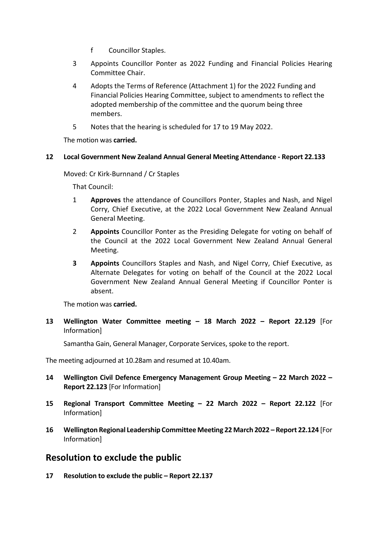- f Councillor Staples.
- 3 Appoints Councillor Ponter as 2022 Funding and Financial Policies Hearing Committee Chair.
- 4 Adopts the Terms of Reference (Attachment 1) for the 2022 Funding and Financial Policies Hearing Committee, subject to amendments to reflect the adopted membership of the committee and the quorum being three members.
- 5 Notes that the hearing is scheduled for 17 to 19 May 2022.

The motion was **carried.**

#### **12 Local Government New Zealand Annual General Meeting Attendance - Report 22.133**

Moved: Cr Kirk-Burnnand / Cr Staples

That Council:

- 1 **Approves** the attendance of Councillors Ponter, Staples and Nash, and Nigel Corry, Chief Executive, at the 2022 Local Government New Zealand Annual General Meeting.
- 2 **Appoints** Councillor Ponter as the Presiding Delegate for voting on behalf of the Council at the 2022 Local Government New Zealand Annual General Meeting.
- **3 Appoints** Councillors Staples and Nash, and Nigel Corry, Chief Executive, as Alternate Delegates for voting on behalf of the Council at the 2022 Local Government New Zealand Annual General Meeting if Councillor Ponter is absent.

The motion was **carried.**

**13 Wellington Water Committee meeting – 18 March 2022 – Report 22.129** [For Information]

Samantha Gain, General Manager, Corporate Services, spoke to the report.

The meeting adjourned at 10.28am and resumed at 10.40am.

- **14 Wellington Civil Defence Emergency Management Group Meeting – 22 March 2022 – Report 22.123** [For Information]
- **15 Regional Transport Committee Meeting – 22 March 2022 – Report 22.122** [For Information]
- **16 Wellington Regional Leadership Committee Meeting 22 March 2022 – Report 22.124** [For Information]

## **Resolution to exclude the public**

**17 Resolution to exclude the public – Report 22.137**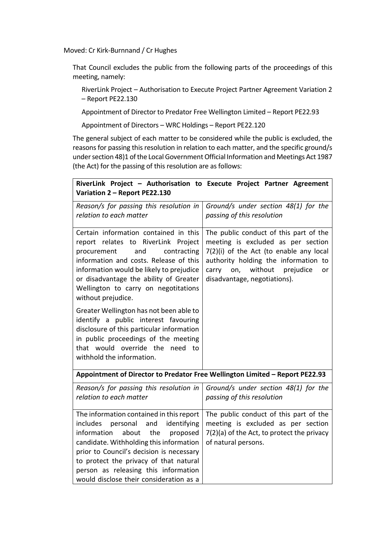Moved: Cr Kirk-Burnnand / Cr Hughes

That Council excludes the public from the following parts of the proceedings of this meeting, namely:

RiverLink Project – Authorisation to Execute Project Partner Agreement Variation 2 – Report PE22.130

Appointment of Director to Predator Free Wellington Limited – Report PE22.93

Appointment of Directors – WRC Holdings – Report PE22.120

The general subject of each matter to be considered while the public is excluded, the reasons for passing this resolution in relation to each matter, and the specific ground/s under section 48)1 of the Local Government Official Information and Meetings Act 1987 (the Act) for the passing of this resolution are as follows:

| RiverLink Project - Authorisation to Execute Project Partner Agreement<br>Variation 2 - Report PE22.130                                                                                                                                                                                                                                                                                            |                                                                                                                                                                                                                                            |
|----------------------------------------------------------------------------------------------------------------------------------------------------------------------------------------------------------------------------------------------------------------------------------------------------------------------------------------------------------------------------------------------------|--------------------------------------------------------------------------------------------------------------------------------------------------------------------------------------------------------------------------------------------|
| Reason/s for passing this resolution in<br>relation to each matter                                                                                                                                                                                                                                                                                                                                 | Ground/s under section 48(1) for the<br>passing of this resolution                                                                                                                                                                         |
| Certain information contained in this<br>report relates to RiverLink Project<br>contracting<br>procurement<br>and<br>information and costs. Release of this<br>information would be likely to prejudice<br>or disadvantage the ability of Greater<br>Wellington to carry on negotitations<br>without prejudice.<br>Greater Wellington has not been able to<br>identify a public interest favouring | The public conduct of this part of the<br>meeting is excluded as per section<br>7(2)(i) of the Act (to enable any local<br>authority holding the information to<br>on, without<br>prejudice<br>carry<br>or<br>disadvantage, negotiations). |
| disclosure of this particular information<br>in public proceedings of the meeting<br>that would override the need to<br>withhold the information.                                                                                                                                                                                                                                                  |                                                                                                                                                                                                                                            |
| Appointment of Director to Predator Free Wellington Limited - Report PE22.93                                                                                                                                                                                                                                                                                                                       |                                                                                                                                                                                                                                            |
| Reason/s for passing this resolution in<br>relation to each matter                                                                                                                                                                                                                                                                                                                                 | Ground/s under section 48(1) for the<br>passing of this resolution                                                                                                                                                                         |
| The information contained in this report<br>identifying<br>includes<br>personal<br>and<br>information<br>about<br>the<br>proposed<br>candidate. Withholding this information<br>prior to Council's decision is necessary<br>to protect the privacy of that natural<br>person as releasing this information<br>would disclose their consideration as a                                              | The public conduct of this part of the<br>meeting is excluded as per section<br>$7(2)(a)$ of the Act, to protect the privacy<br>of natural persons.                                                                                        |